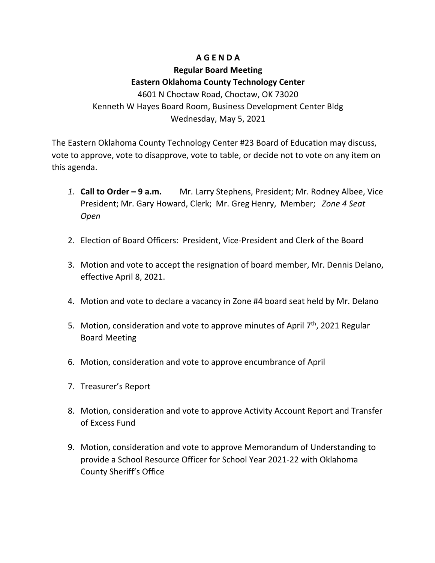## **A G E N D A**

# **Regular Board Meeting Eastern Oklahoma County Technology Center** 4601 N Choctaw Road, Choctaw, OK 73020 Kenneth W Hayes Board Room, Business Development Center Bldg Wednesday, May 5, 2021

The Eastern Oklahoma County Technology Center #23 Board of Education may discuss, vote to approve, vote to disapprove, vote to table, or decide not to vote on any item on this agenda.

- *1.* **Call to Order – 9 a.m.** Mr. Larry Stephens, President; Mr. Rodney Albee, Vice President; Mr. Gary Howard, Clerk; Mr. Greg Henry, Member; *Zone 4 Seat Open*
- 2. Election of Board Officers: President, Vice-President and Clerk of the Board
- 3. Motion and vote to accept the resignation of board member, Mr. Dennis Delano, effective April 8, 2021.
- 4. Motion and vote to declare a vacancy in Zone #4 board seat held by Mr. Delano
- 5. Motion, consideration and vote to approve minutes of April  $7<sup>th</sup>$ , 2021 Regular Board Meeting
- 6. Motion, consideration and vote to approve encumbrance of April
- 7. Treasurer's Report
- 8. Motion, consideration and vote to approve Activity Account Report and Transfer of Excess Fund
- 9. Motion, consideration and vote to approve Memorandum of Understanding to provide a School Resource Officer for School Year 2021-22 with Oklahoma County Sheriff's Office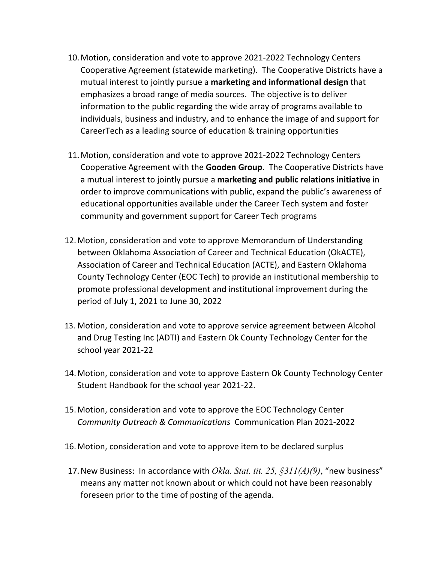- 10.Motion, consideration and vote to approve 2021-2022 Technology Centers Cooperative Agreement (statewide marketing). The Cooperative Districts have a mutual interest to jointly pursue a **marketing and informational design** that emphasizes a broad range of media sources. The objective is to deliver information to the public regarding the wide array of programs available to individuals, business and industry, and to enhance the image of and support for CareerTech as a leading source of education & training opportunities
- 11.Motion, consideration and vote to approve 2021-2022 Technology Centers Cooperative Agreement with the **Gooden Group**. The Cooperative Districts have a mutual interest to jointly pursue a **marketing and public relations initiative** in order to improve communications with public, expand the public's awareness of educational opportunities available under the Career Tech system and foster community and government support for Career Tech programs
- 12.Motion, consideration and vote to approve Memorandum of Understanding between Oklahoma Association of Career and Technical Education (OkACTE), Association of Career and Technical Education (ACTE), and Eastern Oklahoma County Technology Center (EOC Tech) to provide an institutional membership to promote professional development and institutional improvement during the period of July 1, 2021 to June 30, 2022
- 13. Motion, consideration and vote to approve service agreement between Alcohol and Drug Testing Inc (ADTI) and Eastern Ok County Technology Center for the school year 2021-22
- 14.Motion, consideration and vote to approve Eastern Ok County Technology Center Student Handbook for the school year 2021-22.
- 15.Motion, consideration and vote to approve the EOC Technology Center *Community Outreach & Communications* Communication Plan 2021-2022
- 16.Motion, consideration and vote to approve item to be declared surplus
- 17.New Business: In accordance with *Okla. Stat. tit. 25, §311(A)(9)*, "new business" means any matter not known about or which could not have been reasonably foreseen prior to the time of posting of the agenda.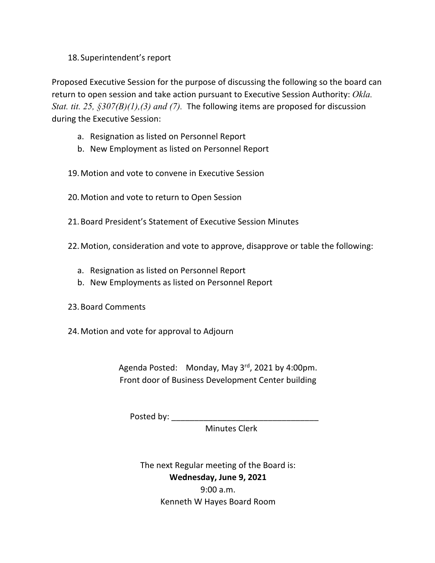### 18. Superintendent's report

Proposed Executive Session for the purpose of discussing the following so the board can return to open session and take action pursuant to Executive Session Authority: *Okla. Stat. tit. 25, §307(B)(1),(3) and (7).* The following items are proposed for discussion during the Executive Session:

- a. Resignation as listed on Personnel Report
- b. New Employment as listed on Personnel Report
- 19.Motion and vote to convene in Executive Session
- 20.Motion and vote to return to Open Session
- 21.Board President's Statement of Executive Session Minutes
- 22.Motion, consideration and vote to approve, disapprove or table the following:
	- a. Resignation as listed on Personnel Report
	- b. New Employments as listed on Personnel Report
- 23.Board Comments
- 24.Motion and vote for approval to Adjourn

Agenda Posted: Monday, May 3<sup>rd</sup>, 2021 by 4:00pm. Front door of Business Development Center building

Posted by: \_\_\_\_\_\_\_\_\_\_\_\_\_\_\_\_\_\_\_\_\_\_\_\_\_\_\_\_\_\_\_\_

Minutes Clerk

The next Regular meeting of the Board is: **Wednesday, June 9, 2021** 9:00 a.m. Kenneth W Hayes Board Room